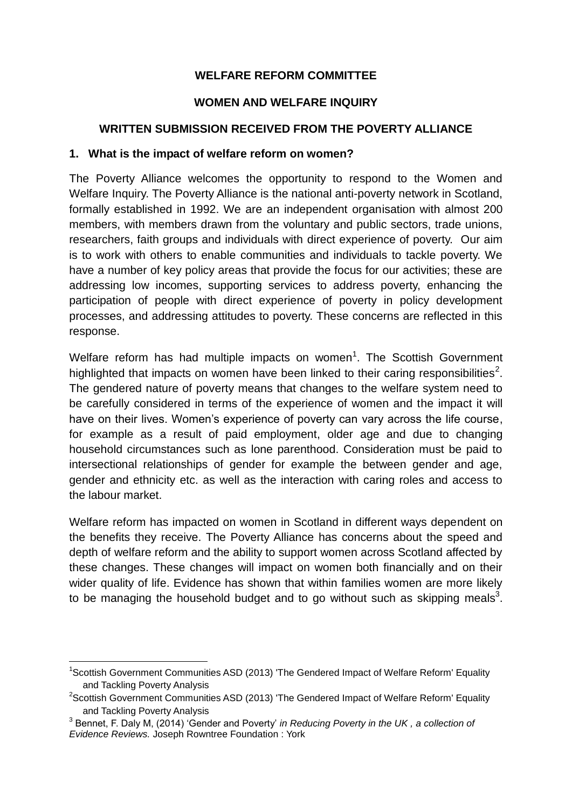## **WELFARE REFORM COMMITTEE**

### **WOMEN AND WELFARE INQUIRY**

### **WRITTEN SUBMISSION RECEIVED FROM THE POVERTY ALLIANCE**

#### **1. What is the impact of welfare reform on women?**

The Poverty Alliance welcomes the opportunity to respond to the Women and Welfare Inquiry. The Poverty Alliance is the national anti-poverty network in Scotland, formally established in 1992. We are an independent organisation with almost 200 members, with members drawn from the voluntary and public sectors, trade unions, researchers, faith groups and individuals with direct experience of poverty. Our aim is to work with others to enable communities and individuals to tackle poverty. We have a number of key policy areas that provide the focus for our activities; these are addressing low incomes, supporting services to address poverty, enhancing the participation of people with direct experience of poverty in policy development processes, and addressing attitudes to poverty. These concerns are reflected in this response.

Welfare reform has had multiple impacts on women<sup>1</sup>. The Scottish Government highlighted that impacts on women have been linked to their caring responsibilities<sup>2</sup>. The gendered nature of poverty means that changes to the welfare system need to be carefully considered in terms of the experience of women and the impact it will have on their lives. Women's experience of poverty can vary across the life course, for example as a result of paid employment, older age and due to changing household circumstances such as lone parenthood. Consideration must be paid to intersectional relationships of gender for example the between gender and age, gender and ethnicity etc. as well as the interaction with caring roles and access to the labour market.

Welfare reform has impacted on women in Scotland in different ways dependent on the benefits they receive. The Poverty Alliance has concerns about the speed and depth of welfare reform and the ability to support women across Scotland affected by these changes. These changes will impact on women both financially and on their wider quality of life. Evidence has shown that within families women are more likely to be managing the household budget and to go without such as skipping meals<sup>3</sup>.

1

<sup>&</sup>lt;sup>1</sup>Scottish Government Communities ASD (2013) 'The Gendered Impact of Welfare Reform' Equality and Tackling Poverty Analysis

<sup>&</sup>lt;sup>2</sup>Scottish Government Communities ASD (2013) 'The Gendered Impact of Welfare Reform' Equality and Tackling Poverty Analysis

<sup>&</sup>lt;sup>3</sup> Bennet, F. Daly M, (2014) 'Gender and Poverty' *in Reducing Poverty in the UK, a collection of Evidence Reviews.* Joseph Rowntree Foundation : York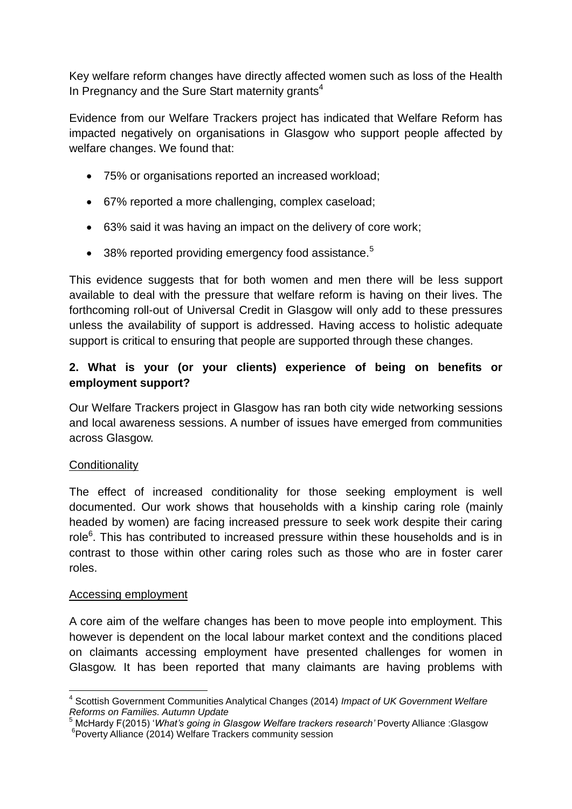Key welfare reform changes have directly affected women such as loss of the Health In Pregnancy and the Sure Start maternity grants $4$ 

Evidence from our Welfare Trackers project has indicated that Welfare Reform has impacted negatively on organisations in Glasgow who support people affected by welfare changes. We found that:

- 75% or organisations reported an increased workload;
- 67% reported a more challenging, complex caseload;
- 63% said it was having an impact on the delivery of core work;
- $\bullet$  38% reported providing emergency food assistance.<sup>5</sup>

This evidence suggests that for both women and men there will be less support available to deal with the pressure that welfare reform is having on their lives. The forthcoming roll-out of Universal Credit in Glasgow will only add to these pressures unless the availability of support is addressed. Having access to holistic adequate support is critical to ensuring that people are supported through these changes.

## **2. What is your (or your clients) experience of being on benefits or employment support?**

Our Welfare Trackers project in Glasgow has ran both city wide networking sessions and local awareness sessions. A number of issues have emerged from communities across Glasgow.

## **Conditionality**

The effect of increased conditionality for those seeking employment is well documented. Our work shows that households with a kinship caring role (mainly headed by women) are facing increased pressure to seek work despite their caring role<sup>6</sup>. This has contributed to increased pressure within these households and is in contrast to those within other caring roles such as those who are in foster carer roles.

#### Accessing employment

A core aim of the welfare changes has been to move people into employment. This however is dependent on the local labour market context and the conditions placed on claimants accessing employment have presented challenges for women in Glasgow. It has been reported that many claimants are having problems with

 $\overline{\phantom{a}}$ 4 Scottish Government Communities Analytical Changes (2014) *Impact of UK Government Welfare Reforms on Families. Autumn Update*

<sup>5</sup> McHardy F(2015) '*What's going in Glasgow Welfare trackers research'* Poverty Alliance :Glasgow 6 Poverty Alliance (2014) Welfare Trackers community session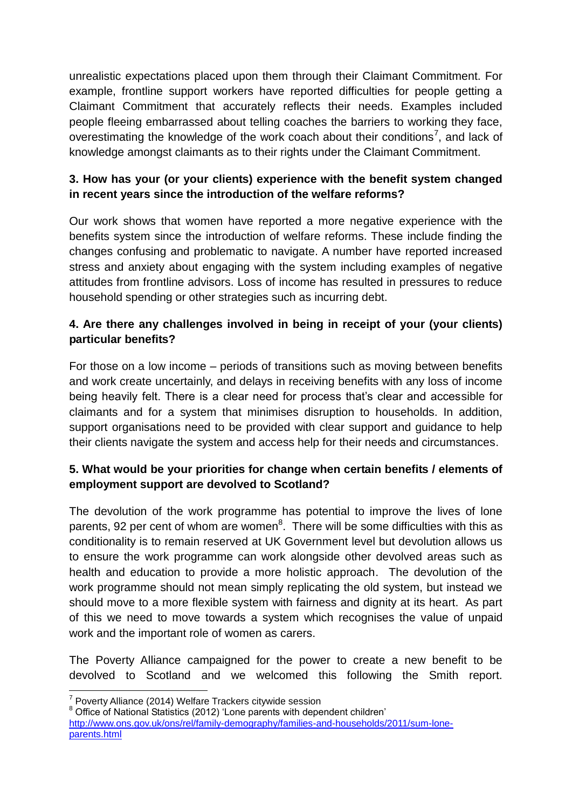unrealistic expectations placed upon them through their Claimant Commitment. For example, frontline support workers have reported difficulties for people getting a Claimant Commitment that accurately reflects their needs. Examples included people fleeing embarrassed about telling coaches the barriers to working they face, overestimating the knowledge of the work coach about their conditions<sup>7</sup>, and lack of knowledge amongst claimants as to their rights under the Claimant Commitment.

# **3. How has your (or your clients) experience with the benefit system changed in recent years since the introduction of the welfare reforms?**

Our work shows that women have reported a more negative experience with the benefits system since the introduction of welfare reforms. These include finding the changes confusing and problematic to navigate. A number have reported increased stress and anxiety about engaging with the system including examples of negative attitudes from frontline advisors. Loss of income has resulted in pressures to reduce household spending or other strategies such as incurring debt.

# **4. Are there any challenges involved in being in receipt of your (your clients) particular benefits?**

For those on a low income – periods of transitions such as moving between benefits and work create uncertainly, and delays in receiving benefits with any loss of income being heavily felt. There is a clear need for process that's clear and accessible for claimants and for a system that minimises disruption to households. In addition, support organisations need to be provided with clear support and guidance to help their clients navigate the system and access help for their needs and circumstances.

# **5. What would be your priorities for change when certain benefits / elements of employment support are devolved to Scotland?**

The devolution of the work programme has potential to improve the lives of lone parents, 92 per cent of whom are women $8$ . There will be some difficulties with this as conditionality is to remain reserved at UK Government level but devolution allows us to ensure the work programme can work alongside other devolved areas such as health and education to provide a more holistic approach. The devolution of the work programme should not mean simply replicating the old system, but instead we should move to a more flexible system with fairness and dignity at its heart. As part of this we need to move towards a system which recognises the value of unpaid work and the important role of women as carers.

The Poverty Alliance campaigned for the power to create a new benefit to be devolved to Scotland and we welcomed this following the Smith report.

 7 Poverty Alliance (2014) Welfare Trackers citywide session

<sup>&</sup>lt;sup>8</sup> Office of National Statistics (2012) 'Lone parents with dependent children'

[http://www.ons.gov.uk/ons/rel/family-demography/families-and-households/2011/sum-lone](http://www.ons.gov.uk/ons/rel/family-demography/families-and-households/2011/sum-lone-parents.html)[parents.html](http://www.ons.gov.uk/ons/rel/family-demography/families-and-households/2011/sum-lone-parents.html)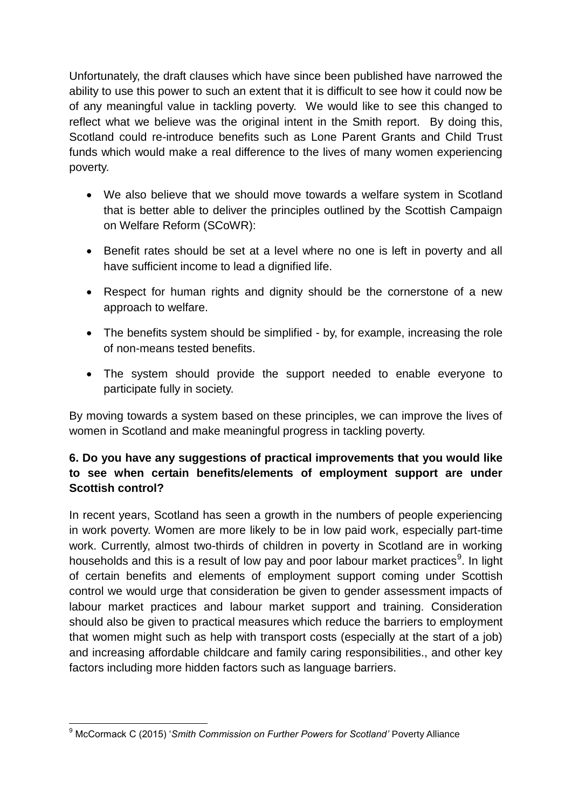Unfortunately, the draft clauses which have since been published have narrowed the ability to use this power to such an extent that it is difficult to see how it could now be of any meaningful value in tackling poverty. We would like to see this changed to reflect what we believe was the original intent in the Smith report. By doing this, Scotland could re-introduce benefits such as Lone Parent Grants and Child Trust funds which would make a real difference to the lives of many women experiencing poverty.

- We also believe that we should move towards a welfare system in Scotland that is better able to deliver the principles outlined by the Scottish Campaign on Welfare Reform (SCoWR):
- Benefit rates should be set at a level where no one is left in poverty and all have sufficient income to lead a dignified life.
- Respect for human rights and dignity should be the cornerstone of a new approach to welfare.
- The benefits system should be simplified by, for example, increasing the role of non-means tested benefits.
- The system should provide the support needed to enable everyone to participate fully in society.

By moving towards a system based on these principles, we can improve the lives of women in Scotland and make meaningful progress in tackling poverty.

# **6. Do you have any suggestions of practical improvements that you would like to see when certain benefits/elements of employment support are under Scottish control?**

In recent years, Scotland has seen a growth in the numbers of people experiencing in work poverty. Women are more likely to be in low paid work, especially part-time work. Currently, almost two-thirds of children in poverty in Scotland are in working households and this is a result of low pay and poor labour market practices<sup>9</sup>. In light of certain benefits and elements of employment support coming under Scottish control we would urge that consideration be given to gender assessment impacts of labour market practices and labour market support and training. Consideration should also be given to practical measures which reduce the barriers to employment that women might such as help with transport costs (especially at the start of a job) and increasing affordable childcare and family caring responsibilities., and other key factors including more hidden factors such as language barriers.

 $\overline{1}$ <sup>9</sup> McCormack C (2015) '*Smith Commission on Further Powers for Scotland'* Poverty Alliance